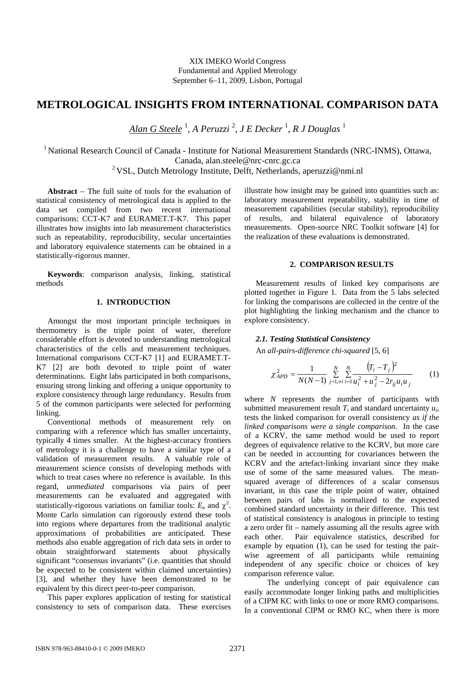XIX IMEKO World Congress Fundamental and Applied Metrology September 6−11, 2009, Lisbon, Portugal

# **METROLOGICAL INSIGHTS FROM INTERNATIONAL COMPARISON DATA**

*Alan G Steele* <sup>1</sup> , *A Peruzzi* <sup>2</sup> , *J E Decker* <sup>1</sup> *, R J Douglas* <sup>1</sup>

<sup>1</sup> National Research Council of Canada - Institute for National Measurement Standards (NRC-INMS), Ottawa, Canada, alan.steele@nrc-cnrc.gc.ca 2 VSL, Dutch Metrology Institute, Delft, Netherlands, aperuzzi@nmi.nl

**Abstract** − The full suite of tools for the evaluation of statistical consistency of metrological data is applied to the data set compiled from two recent international comparisons: CCT-K7 and EURAMET.T-K7. This paper illustrates how insights into lab measurement characteristics such as repeatability, reproducibility, secular uncertainties and laboratory equivalence statements can be obtained in a statistically-rigorous manner.

**Keywords**: comparison analysis, linking, statistical methods

## **1. INTRODUCTION**

Amongst the most important principle techniques in thermometry is the triple point of water, therefore considerable effort is devoted to understanding metrological characteristics of the cells and measurement techniques. International comparisons CCT-K7 [1] and EURAMET.T-K7 [2] are both devoted to triple point of water determinations. Eight labs participated in both comparisons, ensuring strong linking and offering a unique opportunity to explore consistency through large redundancy. Results from 5 of the common participants were selected for performing linking.

Conventional methods of measurement rely on comparing with a reference which has smaller uncertainty, typically 4 times smaller. At the highest-accuracy frontiers of metrology it is a challenge to have a similar type of a validation of measurement results. A valuable role of measurement science consists of developing methods with which to treat cases where no reference is available. In this regard, *unmediated* comparisons via pairs of peer measurements can be evaluated and aggregated with statistically-rigorous variations on familiar tools:  $E_n$  and  $\chi^2$ . Monte Carlo simulation can rigorously extend these tools into regions where departures from the traditional analytic approximations of probabilities are anticipated. These methods also enable aggregation of rich data sets in order to obtain straightforward statements about physically significant "consensus invariants" (i.e. quantities that should be expected to be consistent within claimed uncertainties) [3], and whether they have been demonstrated to be equivalent by this direct peer-to-peer comparison.

This paper explores application of testing for statistical consistency to sets of comparison data. These exercises

illustrate how insight may be gained into quantities such as: laboratory measurement repeatability, stability in time of measurement capabilities (secular stability), reproducibility of results, and bilateral equivalence of laboratory measurements. Open-source NRC Toolkit software [4] for the realization of these evaluations is demonstrated.

#### **2. COMPARISON RESULTS**

Measurement results of linked key comparisons are plotted together in Figure 1. Data from the 5 labs selected for linking the comparisons are collected in the centre of the plot highlighting the linking mechanism and the chance to explore consistency.

## *2.1. Testing Statistical Consistency*

An *all-pairs-difference chi-squared* [5, 6]

$$
\chi_{APD}^2 = \frac{1}{N(N-1)} \sum_{j=1,\neq i}^N \sum_{i=1}^N \frac{(T_i - T_j)^2}{u_i^2 + u_j^2 - 2r_{ij}u_iu_j} \tag{1}
$$

where *N* represents the number of participants with submitted measurement result *Ti* and standard uncertainty *ui*, tests the linked comparison for overall consistency *as if the linked comparisons were a single comparison*. In the case of a KCRV, the same method would be used to report degrees of equivalence relative to the KCRV, but more care can be needed in accounting for covariances between the KCRV and the artefact-linking invariant since they make use of some of the same measured values. The meansquared average of differences of a scalar consensus invariant, in this case the triple point of water, obtained between pairs of labs is normalized to the expected combined standard uncertainty in their difference. This test of statistical consistency is analogous in principle to testing a zero order fit – namely assuming all the results agree with each other. Pair equivalence statistics, described for example by equation (1), can be used for testing the pairwise agreement of all participants while remaining independent of any specific choice or choices of key comparison reference value.

 The underlying concept of pair equivalence can easily accommodate longer linking paths and multiplicities of a CIPM KC with links to one or more RMO comparisons. In a conventional CIPM or RMO KC, when there is more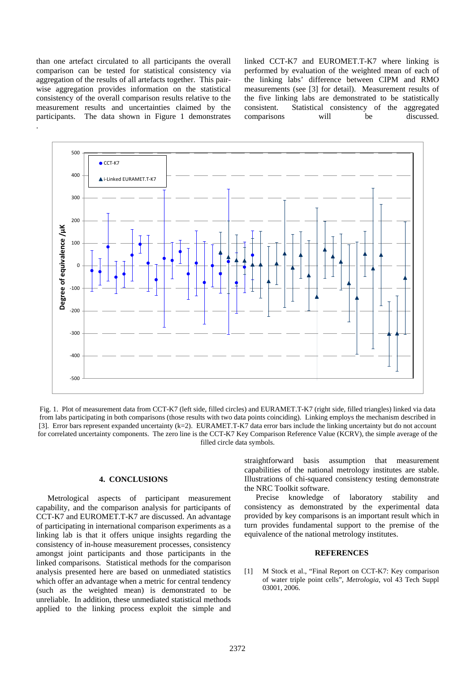than one artefact circulated to all participants the overall comparison can be tested for statistical consistency via aggregation of the results of all artefacts together. This pairwise aggregation provides information on the statistical consistency of the overall comparison results relative to the measurement results and uncertainties claimed by the participants. The data shown in Figure 1 demonstrates .

linked CCT-K7 and EUROMET.T-K7 where linking is performed by evaluation of the weighted mean of each of the linking labs' difference between CIPM and RMO measurements (see [3] for detail). Measurement results of the five linking labs are demonstrated to be statistically consistent. Statistical consistency of the aggregated comparisons will be discussed.



Fig. 1. Plot of measurement data from CCT-K7 (left side, filled circles) and EURAMET.T-K7 (right side, filled triangles) linked via data from labs participating in both comparisons (those results with two data points coinciding). Linking employs the mechanism described in [3]. Error bars represent expanded uncertainty (k=2). EURAMET.T-K7 data error bars include the linking uncertainty but do not account for correlated uncertainty components. The zero line is the CCT-K7 Key Comparison Reference Value (KCRV), the simple average of the filled circle data symbols.

#### **4. CONCLUSIONS**

Metrological aspects of participant measurement capability, and the comparison analysis for participants of CCT-K7 and EUROMET.T-K7 are discussed. An advantage of participating in international comparison experiments as a linking lab is that it offers unique insights regarding the consistency of in-house measurement processes, consistency amongst joint participants and those participants in the linked comparisons. Statistical methods for the comparison analysis presented here are based on unmediated statistics which offer an advantage when a metric for central tendency (such as the weighted mean) is demonstrated to be unreliable. In addition, these unmediated statistical methods applied to the linking process exploit the simple and

straightforward basis assumption that measurement capabilities of the national metrology institutes are stable. Illustrations of chi-squared consistency testing demonstrate the NRC Toolkit software.

Precise knowledge of laboratory stability and consistency as demonstrated by the experimental data provided by key comparisons is an important result which in turn provides fundamental support to the premise of the equivalence of the national metrology institutes.

### **REFERENCES**

[1] M Stock et al., "Final Report on CCT-K7: Key comparison of water triple point cells", *Metrologia*, vol 43 Tech Suppl 03001, 2006.